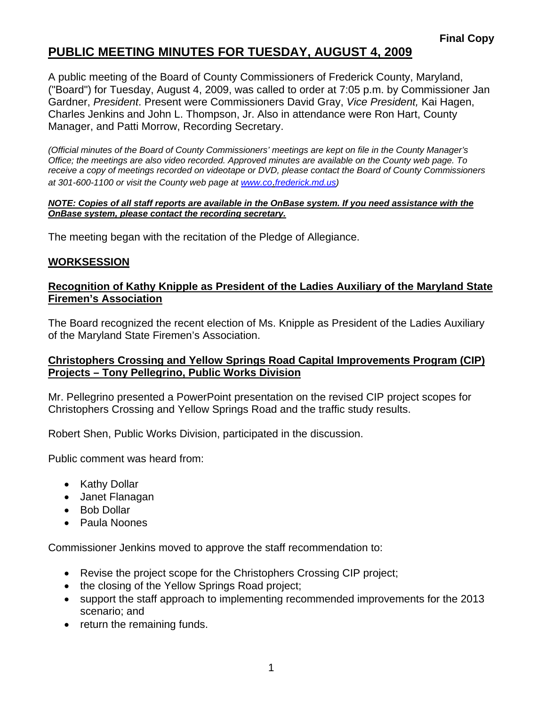# **PUBLIC MEETING MINUTES FOR TUESDAY, AUGUST 4, 2009**

A public meeting of the Board of County Commissioners of Frederick County, Maryland, ("Board") for Tuesday, August 4, 2009, was called to order at 7:05 p.m. by Commissioner Jan Gardner, *President*. Present were Commissioners David Gray, *Vice President,* Kai Hagen, Charles Jenkins and John L. Thompson, Jr. Also in attendance were Ron Hart, County Manager, and Patti Morrow, Recording Secretary.

*(Official minutes of the Board of County Commissioners' meetings are kept on file in the County Manager's Office; the meetings are also video recorded. Approved minutes are available on the County web page. To receive a copy of meetings recorded on videotape or DVD, please contact the Board of County Commissioners at 301-600-1100 or visit the County web page at [www.co](http://www.co/)*.*frederick.md.us)* 

#### *NOTE: Copies of all staff reports are available in the OnBase system. If you need assistance with the OnBase system, please contact the recording secretary.*

The meeting began with the recitation of the Pledge of Allegiance.

### **WORKSESSION**

#### **Recognition of Kathy Knipple as President of the Ladies Auxiliary of the Maryland State Firemen's Association**

The Board recognized the recent election of Ms. Knipple as President of the Ladies Auxiliary of the Maryland State Firemen's Association.

### **Christophers Crossing and Yellow Springs Road Capital Improvements Program (CIP) Projects – Tony Pellegrino, Public Works Division**

Mr. Pellegrino presented a PowerPoint presentation on the revised CIP project scopes for Christophers Crossing and Yellow Springs Road and the traffic study results.

Robert Shen, Public Works Division, participated in the discussion.

Public comment was heard from:

- Kathy Dollar
- Janet Flanagan
- Bob Dollar
- Paula Noones

Commissioner Jenkins moved to approve the staff recommendation to:

- Revise the project scope for the Christophers Crossing CIP project;
- the closing of the Yellow Springs Road project;
- support the staff approach to implementing recommended improvements for the 2013 scenario; and
- return the remaining funds.